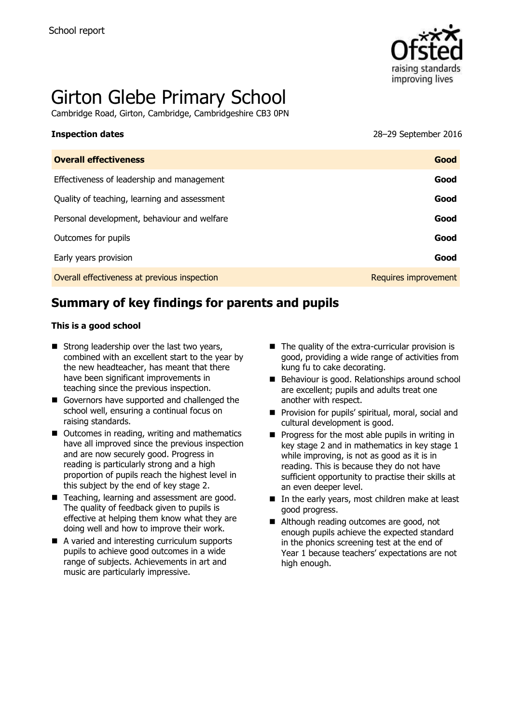

# Girton Glebe Primary School

Cambridge Road, Girton, Cambridge, Cambridgeshire CB3 0PN

**Inspection dates** 28–29 September 2016

| <b>Overall effectiveness</b>                 | Good                 |
|----------------------------------------------|----------------------|
| Effectiveness of leadership and management   | Good                 |
| Quality of teaching, learning and assessment | Good                 |
| Personal development, behaviour and welfare  | Good                 |
| Outcomes for pupils                          | Good                 |
| Early years provision                        | Good                 |
| Overall effectiveness at previous inspection | Requires improvement |

# **Summary of key findings for parents and pupils**

#### **This is a good school**

- $\blacksquare$  Strong leadership over the last two years, combined with an excellent start to the year by the new headteacher, has meant that there have been significant improvements in teaching since the previous inspection.
- Governors have supported and challenged the school well, ensuring a continual focus on raising standards.
- Outcomes in reading, writing and mathematics have all improved since the previous inspection and are now securely good. Progress in reading is particularly strong and a high proportion of pupils reach the highest level in this subject by the end of key stage 2.
- Teaching, learning and assessment are good. The quality of feedback given to pupils is effective at helping them know what they are doing well and how to improve their work.
- A varied and interesting curriculum supports pupils to achieve good outcomes in a wide range of subjects. Achievements in art and music are particularly impressive.
- $\blacksquare$  The quality of the extra-curricular provision is good, providing a wide range of activities from kung fu to cake decorating.
- Behaviour is good. Relationships around school are excellent; pupils and adults treat one another with respect.
- **Provision for pupils' spiritual, moral, social and** cultural development is good.
- $\blacksquare$  Progress for the most able pupils in writing in key stage 2 and in mathematics in key stage 1 while improving, is not as good as it is in reading. This is because they do not have sufficient opportunity to practise their skills at an even deeper level.
- In the early years, most children make at least good progress.
- Although reading outcomes are good, not enough pupils achieve the expected standard in the phonics screening test at the end of Year 1 because teachers' expectations are not high enough.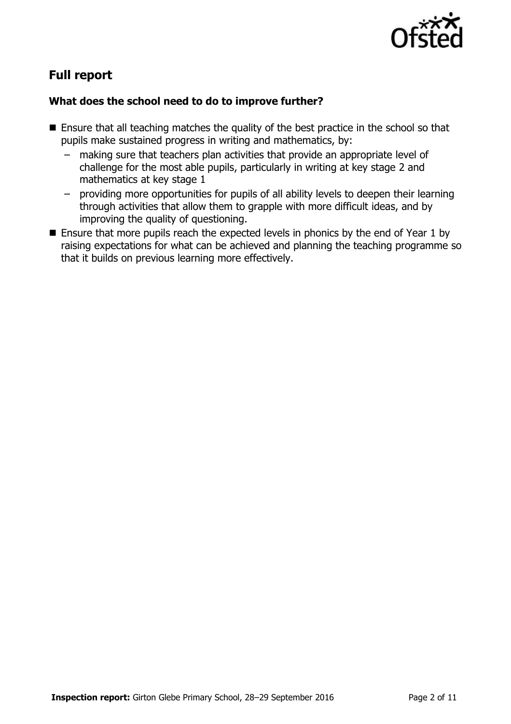

# **Full report**

### **What does the school need to do to improve further?**

- Ensure that all teaching matches the quality of the best practice in the school so that pupils make sustained progress in writing and mathematics, by:
	- making sure that teachers plan activities that provide an appropriate level of challenge for the most able pupils, particularly in writing at key stage 2 and mathematics at key stage 1
	- providing more opportunities for pupils of all ability levels to deepen their learning through activities that allow them to grapple with more difficult ideas, and by improving the quality of questioning.
- **E** Ensure that more pupils reach the expected levels in phonics by the end of Year 1 by raising expectations for what can be achieved and planning the teaching programme so that it builds on previous learning more effectively.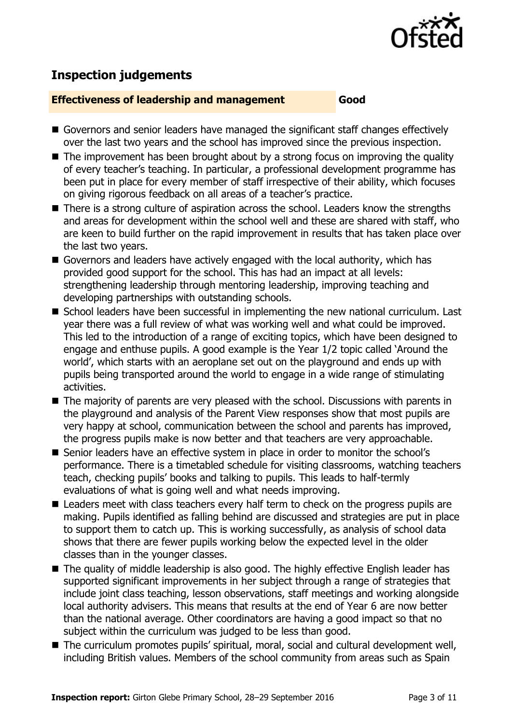

## **Inspection judgements**

#### **Effectiveness of leadership and management Good**

- Governors and senior leaders have managed the significant staff changes effectively over the last two years and the school has improved since the previous inspection.
- $\blacksquare$  The improvement has been brought about by a strong focus on improving the quality of every teacher's teaching. In particular, a professional development programme has been put in place for every member of staff irrespective of their ability, which focuses on giving rigorous feedback on all areas of a teacher's practice.
- There is a strong culture of aspiration across the school. Leaders know the strengths and areas for development within the school well and these are shared with staff, who are keen to build further on the rapid improvement in results that has taken place over the last two years.
- Governors and leaders have actively engaged with the local authority, which has provided good support for the school. This has had an impact at all levels: strengthening leadership through mentoring leadership, improving teaching and developing partnerships with outstanding schools.
- School leaders have been successful in implementing the new national curriculum. Last year there was a full review of what was working well and what could be improved. This led to the introduction of a range of exciting topics, which have been designed to engage and enthuse pupils. A good example is the Year 1/2 topic called 'Around the world', which starts with an aeroplane set out on the playground and ends up with pupils being transported around the world to engage in a wide range of stimulating activities.
- The majority of parents are very pleased with the school. Discussions with parents in the playground and analysis of the Parent View responses show that most pupils are very happy at school, communication between the school and parents has improved, the progress pupils make is now better and that teachers are very approachable.
- Senior leaders have an effective system in place in order to monitor the school's performance. There is a timetabled schedule for visiting classrooms, watching teachers teach, checking pupils' books and talking to pupils. This leads to half-termly evaluations of what is going well and what needs improving.
- Leaders meet with class teachers every half term to check on the progress pupils are making. Pupils identified as falling behind are discussed and strategies are put in place to support them to catch up. This is working successfully, as analysis of school data shows that there are fewer pupils working below the expected level in the older classes than in the younger classes.
- The quality of middle leadership is also good. The highly effective English leader has supported significant improvements in her subject through a range of strategies that include joint class teaching, lesson observations, staff meetings and working alongside local authority advisers. This means that results at the end of Year 6 are now better than the national average. Other coordinators are having a good impact so that no subject within the curriculum was judged to be less than good.
- The curriculum promotes pupils' spiritual, moral, social and cultural development well, including British values. Members of the school community from areas such as Spain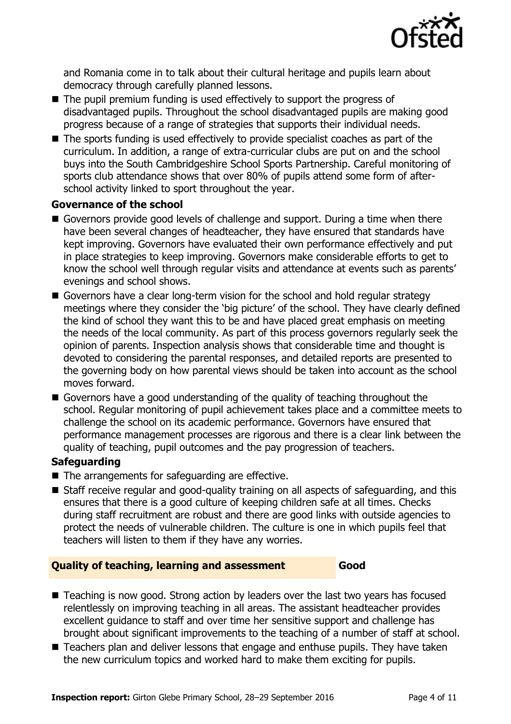

and Romania come in to talk about their cultural heritage and pupils learn about democracy through carefully planned lessons.

- The pupil premium funding is used effectively to support the progress of disadvantaged pupils. Throughout the school disadvantaged pupils are making good progress because of a range of strategies that supports their individual needs.
- The sports funding is used effectively to provide specialist coaches as part of the curriculum. In addition, a range of extra-curricular clubs are put on and the school buys into the South Cambridgeshire School Sports Partnership. Careful monitoring of sports club attendance shows that over 80% of pupils attend some form of afterschool activity linked to sport throughout the year.

#### **Governance of the school**

- Governors provide good levels of challenge and support. During a time when there have been several changes of headteacher, they have ensured that standards have kept improving. Governors have evaluated their own performance effectively and put in place strategies to keep improving. Governors make considerable efforts to get to know the school well through regular visits and attendance at events such as parents' evenings and school shows.
- Governors have a clear long-term vision for the school and hold regular strategy meetings where they consider the 'big picture' of the school. They have clearly defined the kind of school they want this to be and have placed great emphasis on meeting the needs of the local community. As part of this process governors regularly seek the opinion of parents. Inspection analysis shows that considerable time and thought is devoted to considering the parental responses, and detailed reports are presented to the governing body on how parental views should be taken into account as the school moves forward.
- Governors have a good understanding of the quality of teaching throughout the school. Regular monitoring of pupil achievement takes place and a committee meets to challenge the school on its academic performance. Governors have ensured that performance management processes are rigorous and there is a clear link between the quality of teaching, pupil outcomes and the pay progression of teachers.

### **Safeguarding**

- $\blacksquare$  The arrangements for safeguarding are effective.
- Staff receive regular and good-quality training on all aspects of safeguarding, and this ensures that there is a good culture of keeping children safe at all times. Checks during staff recruitment are robust and there are good links with outside agencies to protect the needs of vulnerable children. The culture is one in which pupils feel that teachers will listen to them if they have any worries.

#### **Quality of teaching, learning and assessment Good**

- Teaching is now good. Strong action by leaders over the last two vears has focused relentlessly on improving teaching in all areas. The assistant headteacher provides excellent guidance to staff and over time her sensitive support and challenge has brought about significant improvements to the teaching of a number of staff at school.
- Teachers plan and deliver lessons that engage and enthuse pupils. They have taken the new curriculum topics and worked hard to make them exciting for pupils.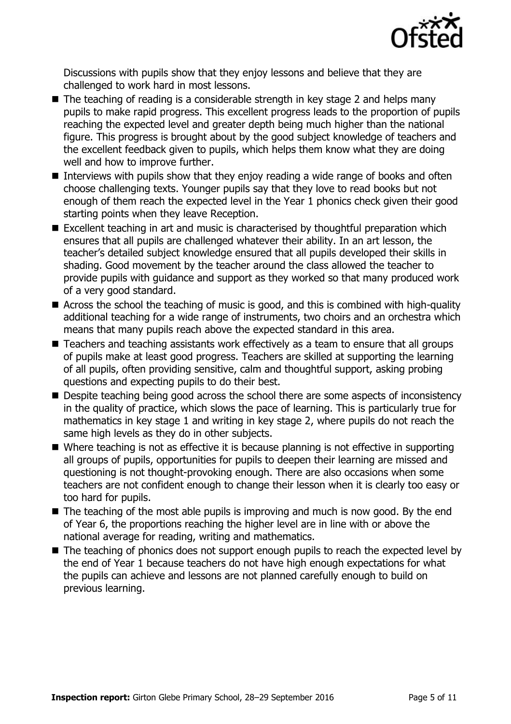

Discussions with pupils show that they enjoy lessons and believe that they are challenged to work hard in most lessons.

- $\blacksquare$  The teaching of reading is a considerable strength in key stage 2 and helps many pupils to make rapid progress. This excellent progress leads to the proportion of pupils reaching the expected level and greater depth being much higher than the national figure. This progress is brought about by the good subject knowledge of teachers and the excellent feedback given to pupils, which helps them know what they are doing well and how to improve further.
- Interviews with pupils show that they enjoy reading a wide range of books and often choose challenging texts. Younger pupils say that they love to read books but not enough of them reach the expected level in the Year 1 phonics check given their good starting points when they leave Reception.
- Excellent teaching in art and music is characterised by thoughtful preparation which ensures that all pupils are challenged whatever their ability. In an art lesson, the teacher's detailed subject knowledge ensured that all pupils developed their skills in shading. Good movement by the teacher around the class allowed the teacher to provide pupils with guidance and support as they worked so that many produced work of a very good standard.
- Across the school the teaching of music is good, and this is combined with high-quality additional teaching for a wide range of instruments, two choirs and an orchestra which means that many pupils reach above the expected standard in this area.
- Teachers and teaching assistants work effectively as a team to ensure that all groups of pupils make at least good progress. Teachers are skilled at supporting the learning of all pupils, often providing sensitive, calm and thoughtful support, asking probing questions and expecting pupils to do their best.
- Despite teaching being good across the school there are some aspects of inconsistency in the quality of practice, which slows the pace of learning. This is particularly true for mathematics in key stage 1 and writing in key stage 2, where pupils do not reach the same high levels as they do in other subjects.
- Where teaching is not as effective it is because planning is not effective in supporting all groups of pupils, opportunities for pupils to deepen their learning are missed and questioning is not thought-provoking enough. There are also occasions when some teachers are not confident enough to change their lesson when it is clearly too easy or too hard for pupils.
- $\blacksquare$  The teaching of the most able pupils is improving and much is now good. By the end of Year 6, the proportions reaching the higher level are in line with or above the national average for reading, writing and mathematics.
- The teaching of phonics does not support enough pupils to reach the expected level by the end of Year 1 because teachers do not have high enough expectations for what the pupils can achieve and lessons are not planned carefully enough to build on previous learning.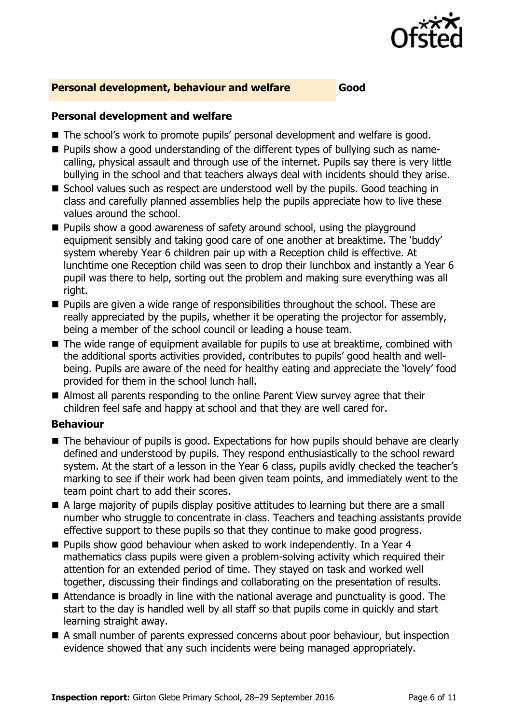

#### **Personal development, behaviour and welfare Good**

#### **Personal development and welfare**

- The school's work to promote pupils' personal development and welfare is good.
- **Pupils show a good understanding of the different types of bullying such as name**calling, physical assault and through use of the internet. Pupils say there is very little bullying in the school and that teachers always deal with incidents should they arise.
- School values such as respect are understood well by the pupils. Good teaching in class and carefully planned assemblies help the pupils appreciate how to live these values around the school.
- $\blacksquare$  Pupils show a good awareness of safety around school, using the playground equipment sensibly and taking good care of one another at breaktime. The 'buddy' system whereby Year 6 children pair up with a Reception child is effective. At lunchtime one Reception child was seen to drop their lunchbox and instantly a Year 6 pupil was there to help, sorting out the problem and making sure everything was all right.
- $\blacksquare$  Pupils are given a wide range of responsibilities throughout the school. These are really appreciated by the pupils, whether it be operating the projector for assembly, being a member of the school council or leading a house team.
- The wide range of equipment available for pupils to use at breaktime, combined with the additional sports activities provided, contributes to pupils' good health and wellbeing. Pupils are aware of the need for healthy eating and appreciate the 'lovely' food provided for them in the school lunch hall.
- Almost all parents responding to the online Parent View survey agree that their children feel safe and happy at school and that they are well cared for.

#### **Behaviour**

- The behaviour of pupils is good. Expectations for how pupils should behave are clearly defined and understood by pupils. They respond enthusiastically to the school reward system. At the start of a lesson in the Year 6 class, pupils avidly checked the teacher's marking to see if their work had been given team points, and immediately went to the team point chart to add their scores.
- A large majority of pupils display positive attitudes to learning but there are a small number who struggle to concentrate in class. Teachers and teaching assistants provide effective support to these pupils so that they continue to make good progress.
- Pupils show good behaviour when asked to work independently. In a Year 4 mathematics class pupils were given a problem-solving activity which required their attention for an extended period of time. They stayed on task and worked well together, discussing their findings and collaborating on the presentation of results.
- Attendance is broadly in line with the national average and punctuality is good. The start to the day is handled well by all staff so that pupils come in quickly and start learning straight away.
- A small number of parents expressed concerns about poor behaviour, but inspection evidence showed that any such incidents were being managed appropriately.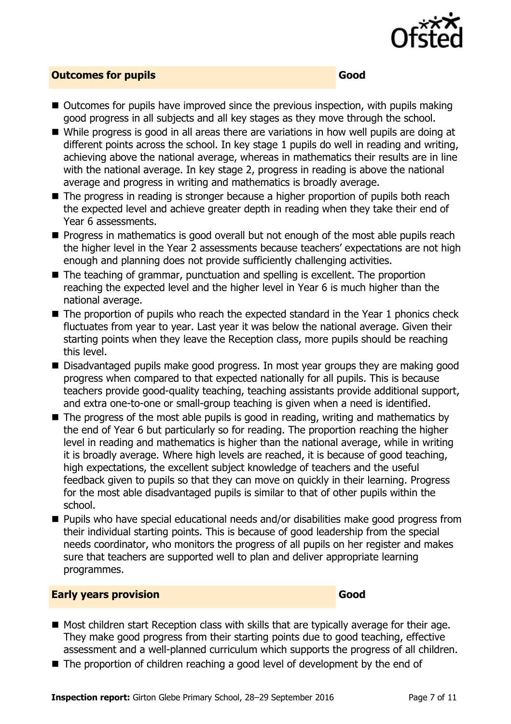

#### **Outcomes for pupils Good**

- $\blacksquare$  Outcomes for pupils have improved since the previous inspection, with pupils making good progress in all subjects and all key stages as they move through the school.
- While progress is good in all areas there are variations in how well pupils are doing at different points across the school. In key stage 1 pupils do well in reading and writing, achieving above the national average, whereas in mathematics their results are in line with the national average. In key stage 2, progress in reading is above the national average and progress in writing and mathematics is broadly average.
- The progress in reading is stronger because a higher proportion of pupils both reach the expected level and achieve greater depth in reading when they take their end of Year 6 assessments.
- **Progress in mathematics is good overall but not enough of the most able pupils reach** the higher level in the Year 2 assessments because teachers' expectations are not high enough and planning does not provide sufficiently challenging activities.
- The teaching of grammar, punctuation and spelling is excellent. The proportion reaching the expected level and the higher level in Year 6 is much higher than the national average.
- The proportion of pupils who reach the expected standard in the Year 1 phonics check fluctuates from year to year. Last year it was below the national average. Given their starting points when they leave the Reception class, more pupils should be reaching this level.
- Disadvantaged pupils make good progress. In most year groups they are making good progress when compared to that expected nationally for all pupils. This is because teachers provide good-quality teaching, teaching assistants provide additional support, and extra one-to-one or small-group teaching is given when a need is identified.
- $\blacksquare$  The progress of the most able pupils is good in reading, writing and mathematics by the end of Year 6 but particularly so for reading. The proportion reaching the higher level in reading and mathematics is higher than the national average, while in writing it is broadly average. Where high levels are reached, it is because of good teaching, high expectations, the excellent subject knowledge of teachers and the useful feedback given to pupils so that they can move on quickly in their learning. Progress for the most able disadvantaged pupils is similar to that of other pupils within the school.
- Pupils who have special educational needs and/or disabilities make good progress from their individual starting points. This is because of good leadership from the special needs coordinator, who monitors the progress of all pupils on her register and makes sure that teachers are supported well to plan and deliver appropriate learning programmes.

#### **Early years provision Good Good**

- Most children start Reception class with skills that are typically average for their age. They make good progress from their starting points due to good teaching, effective assessment and a well-planned curriculum which supports the progress of all children.
- The proportion of children reaching a good level of development by the end of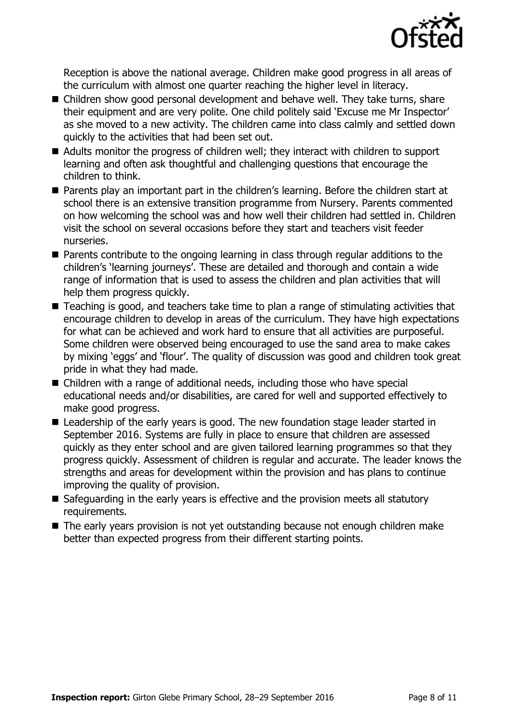

Reception is above the national average. Children make good progress in all areas of the curriculum with almost one quarter reaching the higher level in literacy.

- Children show good personal development and behave well. They take turns, share their equipment and are very polite. One child politely said 'Excuse me Mr Inspector' as she moved to a new activity. The children came into class calmly and settled down quickly to the activities that had been set out.
- Adults monitor the progress of children well; they interact with children to support learning and often ask thoughtful and challenging questions that encourage the children to think.
- Parents play an important part in the children's learning. Before the children start at school there is an extensive transition programme from Nursery. Parents commented on how welcoming the school was and how well their children had settled in. Children visit the school on several occasions before they start and teachers visit feeder nurseries.
- Parents contribute to the ongoing learning in class through regular additions to the children's 'learning journeys'. These are detailed and thorough and contain a wide range of information that is used to assess the children and plan activities that will help them progress quickly.
- Teaching is good, and teachers take time to plan a range of stimulating activities that encourage children to develop in areas of the curriculum. They have high expectations for what can be achieved and work hard to ensure that all activities are purposeful. Some children were observed being encouraged to use the sand area to make cakes by mixing 'eggs' and 'flour'. The quality of discussion was good and children took great pride in what they had made.
- Children with a range of additional needs, including those who have special educational needs and/or disabilities, are cared for well and supported effectively to make good progress.
- Leadership of the early years is good. The new foundation stage leader started in September 2016. Systems are fully in place to ensure that children are assessed quickly as they enter school and are given tailored learning programmes so that they progress quickly. Assessment of children is regular and accurate. The leader knows the strengths and areas for development within the provision and has plans to continue improving the quality of provision.
- Safeguarding in the early years is effective and the provision meets all statutory requirements.
- The early years provision is not yet outstanding because not enough children make better than expected progress from their different starting points.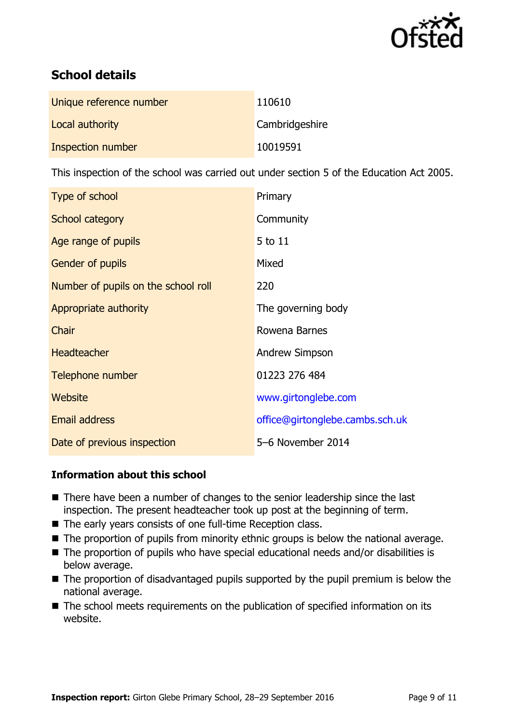

# **School details**

| Unique reference number  | 110610         |
|--------------------------|----------------|
| Local authority          | Cambridgeshire |
| <b>Inspection number</b> | 10019591       |

This inspection of the school was carried out under section 5 of the Education Act 2005.

| Type of school                      | Primary                         |
|-------------------------------------|---------------------------------|
| School category                     | Community                       |
| Age range of pupils                 | 5 to 11                         |
| <b>Gender of pupils</b>             | Mixed                           |
| Number of pupils on the school roll | 220                             |
| Appropriate authority               | The governing body              |
| Chair                               | Rowena Barnes                   |
| <b>Headteacher</b>                  | Andrew Simpson                  |
| Telephone number                    | 01223 276 484                   |
| Website                             | www.girtonglebe.com             |
| <b>Email address</b>                | office@girtonglebe.cambs.sch.uk |
| Date of previous inspection         | 5-6 November 2014               |

### **Information about this school**

- There have been a number of changes to the senior leadership since the last inspection. The present headteacher took up post at the beginning of term.
- The early years consists of one full-time Reception class.
- The proportion of pupils from minority ethnic groups is below the national average.
- The proportion of pupils who have special educational needs and/or disabilities is below average.
- The proportion of disadvantaged pupils supported by the pupil premium is below the national average.
- The school meets requirements on the publication of specified information on its website.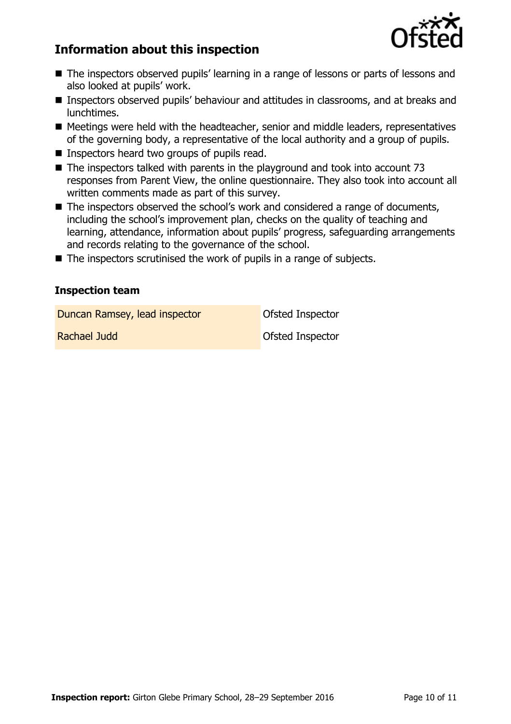

# **Information about this inspection**

- The inspectors observed pupils' learning in a range of lessons or parts of lessons and also looked at pupils' work.
- Inspectors observed pupils' behaviour and attitudes in classrooms, and at breaks and lunchtimes.
- Meetings were held with the headteacher, senior and middle leaders, representatives of the governing body, a representative of the local authority and a group of pupils.
- Inspectors heard two groups of pupils read.
- $\blacksquare$  The inspectors talked with parents in the playground and took into account 73 responses from Parent View, the online questionnaire. They also took into account all written comments made as part of this survey.
- The inspectors observed the school's work and considered a range of documents, including the school's improvement plan, checks on the quality of teaching and learning, attendance, information about pupils' progress, safeguarding arrangements and records relating to the governance of the school.
- $\blacksquare$  The inspectors scrutinised the work of pupils in a range of subjects.

### **Inspection team**

**Duncan Ramsey, lead inspector Constanting Ofsted Inspector** 

Rachael Judd Ofsted Inspector